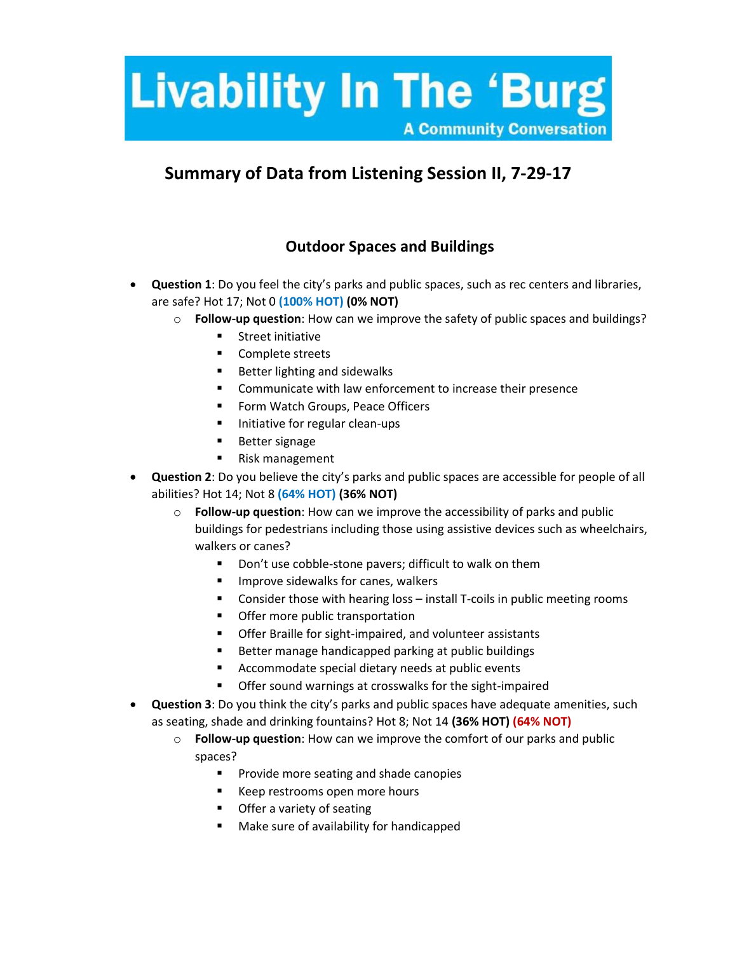# **Livability In The 'Burg' A Community Conversation**

## **Summary of Data from Listening Session II, 7-29-17**

## **Outdoor Spaces and Buildings**

- **Question 1**: Do you feel the city's parks and public spaces, such as rec centers and libraries, are safe? Hot 17; Not 0 **(100% HOT) (0% NOT)**
	- o **Follow-up question**: How can we improve the safety of public spaces and buildings?
		- **Street initiative**
		- Complete streets
		- Better lighting and sidewalks
		- **Communicate with law enforcement to increase their presence**
		- **Form Watch Groups, Peace Officers**
		- Initiative for regular clean-ups
		- **Better signage**
		- Risk management
- **Question 2**: Do you believe the city's parks and public spaces are accessible for people of all abilities? Hot 14; Not 8 **(64% HOT) (36% NOT)**
	- o **Follow-up question**: How can we improve the accessibility of parks and public buildings for pedestrians including those using assistive devices such as wheelchairs, walkers or canes?
		- Don't use cobble-stone pavers; difficult to walk on them
		- **IMPROVE SIGE WALKS FOR CANCE S** UNIVERSITY
		- **Consider those with hearing loss install T-coils in public meeting rooms**
		- **•** Offer more public transportation
		- **•** Offer Braille for sight-impaired, and volunteer assistants
		- Better manage handicapped parking at public buildings
		- **Accommodate special dietary needs at public events**
		- **Offer sound warnings at crosswalks for the sight-impaired**
- **Question 3**: Do you think the city's parks and public spaces have adequate amenities, such as seating, shade and drinking fountains? Hot 8; Not 14 **(36% HOT) (64% NOT)**
	- o **Follow-up question**: How can we improve the comfort of our parks and public spaces?
		- **Provide more seating and shade canopies**
		- Keep restrooms open more hours
		- **•** Offer a variety of seating
		- **Make sure of availability for handicapped**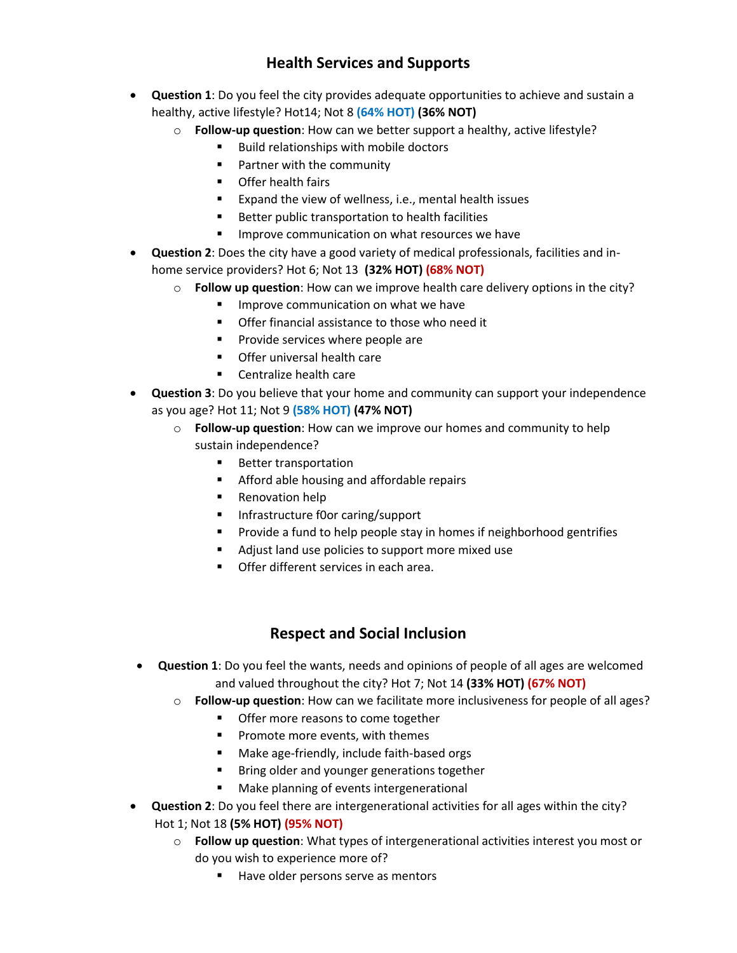## **Health Services and Supports**

- **Question 1**: Do you feel the city provides adequate opportunities to achieve and sustain a healthy, active lifestyle? Hot14; Not 8 **(64% HOT) (36% NOT)**
	- o **Follow-up question**: How can we better support a healthy, active lifestyle?
		- **Build relationships with mobile doctors**
		- **Partner with the community**
		- **•** Offer health fairs
		- Expand the view of wellness, i.e., mental health issues
		- **Better public transportation to health facilities**
		- **IMPROVE COMMUNICATION ON What resources we have**
- **Question 2**: Does the city have a good variety of medical professionals, facilities and inhome service providers? Hot 6; Not 13 **(32% HOT) (68% NOT)**
	- o **Follow up question**: How can we improve health care delivery options in the city?
		- **IMPROVE COMMUNICATION ON What we have**
		- **•** Offer financial assistance to those who need it
		- $\blacksquare$  Provide services where people are
		- **Offer universal health care**
		- Centralize health care
- **Question 3**: Do you believe that your home and community can support your independence as you age? Hot 11; Not 9 **(58% HOT) (47% NOT)**
	- o **Follow-up question**: How can we improve our homes and community to help sustain independence?
		- Better transportation
		- **EXED:** Afford able housing and affordable repairs
		- **Renovation help**
		- **Infrastructure foor caring/support**
		- **Provide a fund to help people stay in homes if neighborhood gentrifies**
		- Adjust land use policies to support more mixed use
		- **Offer different services in each area.**

## **Respect and Social Inclusion**

- **Question 1**: Do you feel the wants, needs and opinions of people of all ages are welcomed and valued throughout the city? Hot 7; Not 14 **(33% HOT) (67% NOT)**
	- o **Follow-up question**: How can we facilitate more inclusiveness for people of all ages?
		- **•** Offer more reasons to come together
		- **Promote more events, with themes**
		- **Make age-friendly, include faith-based orgs**
		- **Bring older and younger generations together**
		- **Make planning of events intergenerational**
- **Question 2**: Do you feel there are intergenerational activities for all ages within the city? Hot 1; Not 18 **(5% HOT) (95% NOT)**
	- o **Follow up question**: What types of intergenerational activities interest you most or do you wish to experience more of?
		- Have older persons serve as mentors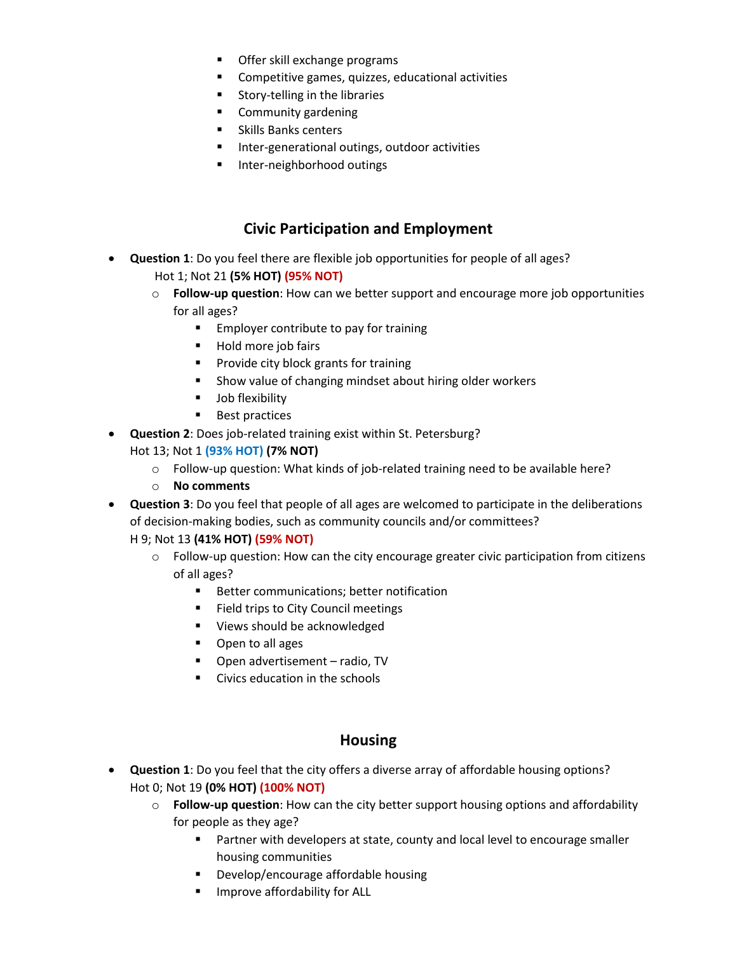- **Offer skill exchange programs**
- **Competitive games, quizzes, educational activities**
- Story-telling in the libraries
- **E** Community gardening
- **Skills Banks centers**
- **Inter-generational outings, outdoor activities**
- **Inter-neighborhood outings**

## **Civic Participation and Employment**

- **Question 1**: Do you feel there are flexible job opportunities for people of all ages? Hot 1; Not 21 **(5% HOT) (95% NOT)**
	- o **Follow-up question**: How can we better support and encourage more job opportunities for all ages?
		- **Employer contribute to pay for training**
		- **Hold more job fairs**
		- **Provide city block grants for training**
		- **Show value of changing mindset about hiring older workers**
		- **Job flexibility**
		- **Best practices**
- **Question 2**: Does job-related training exist within St. Petersburg?

#### Hot 13; Not 1 **(93% HOT) (7% NOT)**

- o Follow-up question: What kinds of job-related training need to be available here?
- o **No comments**
- **Question 3**: Do you feel that people of all ages are welcomed to participate in the deliberations of decision-making bodies, such as community councils and/or committees?

#### H 9; Not 13 **(41% HOT) (59% NOT)**

- $\circ$  Follow-up question: How can the city encourage greater civic participation from citizens of all ages?
	- **Better communications; better notification**
	- Field trips to City Council meetings
	- Views should be acknowledged
	- **•** Open to all ages
	- Open advertisement radio, TV
	- **Civics education in the schools**

## **Housing**

- **Question 1**: Do you feel that the city offers a diverse array of affordable housing options? Hot 0; Not 19 **(0% HOT) (100% NOT)**
	- o **Follow-up question**: How can the city better support housing options and affordability for people as they age?
		- **Partner with developers at state, county and local level to encourage smaller** housing communities
		- **Develop/encourage affordable housing**
		- **IMPROVE affordability for ALL**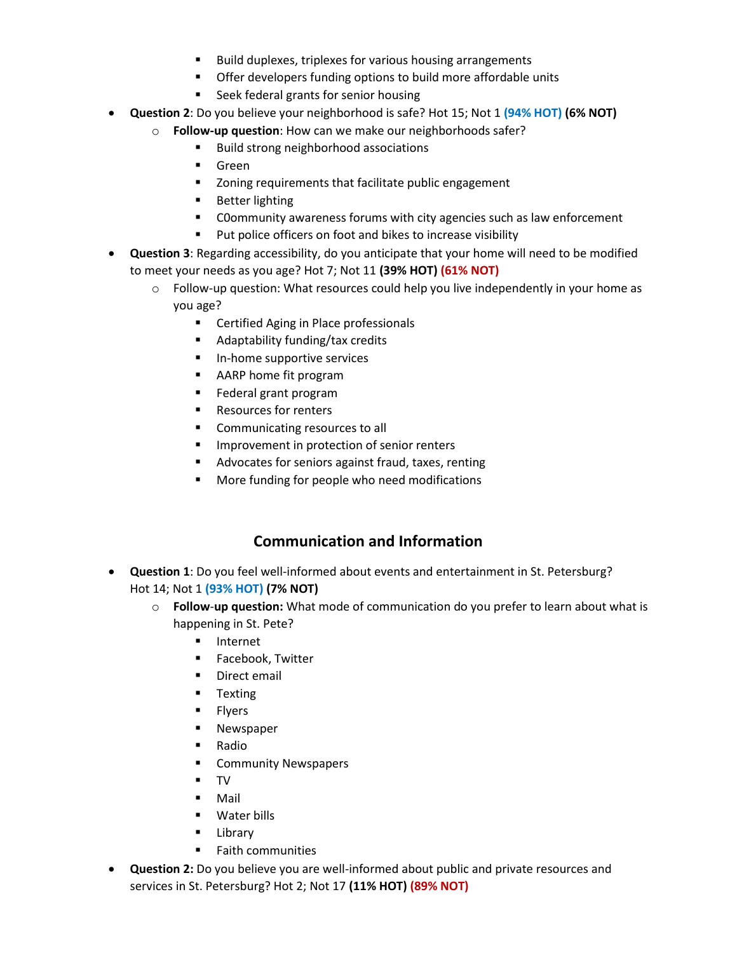- Build duplexes, triplexes for various housing arrangements
- **•** Offer developers funding options to build more affordable units
- Seek federal grants for senior housing
- **Question 2**: Do you believe your neighborhood is safe? Hot 15; Not 1 **(94% HOT) (6% NOT)**
	- o **Follow-up question**: How can we make our neighborhoods safer?
		- Build strong neighborhood associations
		- **Green**
		- Zoning requirements that facilitate public engagement
		- **Better lighting**
		- C0ommunity awareness forums with city agencies such as law enforcement
		- **Put police officers on foot and bikes to increase visibility**
- **Question 3**: Regarding accessibility, do you anticipate that your home will need to be modified to meet your needs as you age? Hot 7; Not 11 **(39% HOT) (61% NOT)**
	- $\circ$  Follow-up question: What resources could help you live independently in your home as you age?
		- **EXEC** Certified Aging in Place professionals
		- **Adaptability funding/tax credits**
		- **In-home supportive services**
		- AARP home fit program
		- **Federal grant program**
		- Resources for renters
		- Communicating resources to all
		- **IMPROVEMENT IN PROTECTION OF SENIOR FEATURE I**
		- Advocates for seniors against fraud, taxes, renting
		- More funding for people who need modifications

## **Communication and Information**

- **Question 1**: Do you feel well-informed about events and entertainment in St. Petersburg? Hot 14; Not 1 **(93% HOT) (7% NOT)**
	- o **Follow**-**up question:** What mode of communication do you prefer to learn about what is happening in St. Pete?
		- **Internet**
		- **Facebook, Twitter**
		- **Direct email**
		- **Texting**
		- **Flyers**
		- **Newspaper**
		- Radio
		- **E** Community Newspapers
		- TV
		- Mail
		- Water bills
		- **Library**
		- **Faith communities**
- **Question 2:** Do you believe you are well-informed about public and private resources and services in St. Petersburg? Hot 2; Not 17 **(11% HOT) (89% NOT)**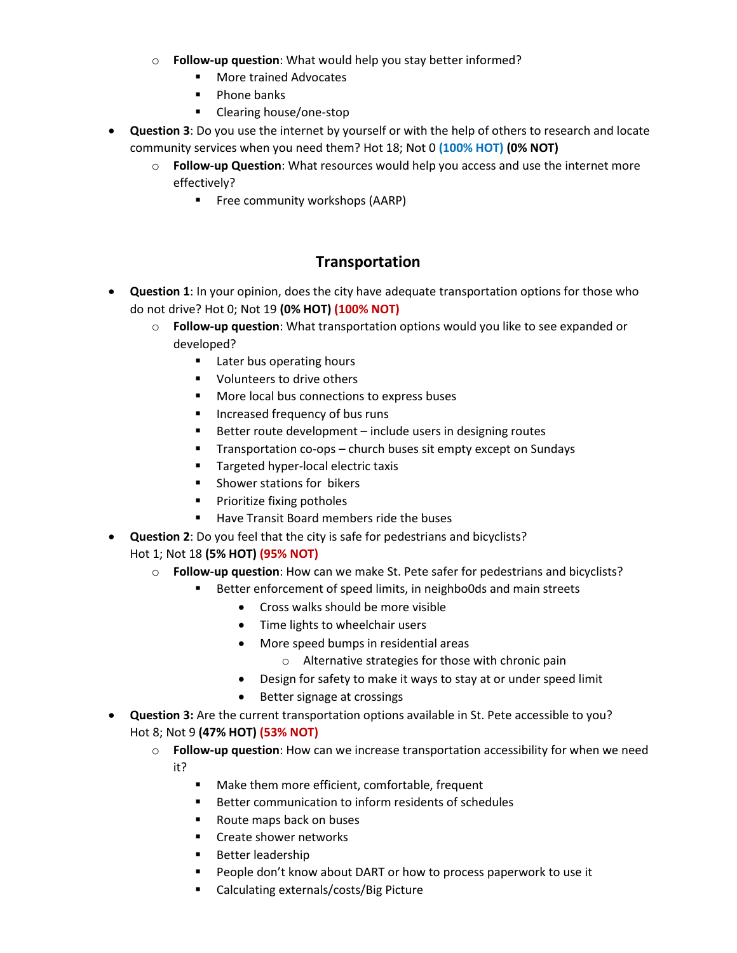- o **Follow-up question**: What would help you stay better informed?
	- More trained Advocates
	- Phone banks
	- **Clearing house/one-stop**
- **Question 3**: Do you use the internet by yourself or with the help of others to research and locate community services when you need them? Hot 18; Not 0 **(100% HOT) (0% NOT)**
	- o **Follow-up Question**: What resources would help you access and use the internet more effectively?
		- **Filter** Free community workshops (AARP)

### **Transportation**

- **Question 1**: In your opinion, does the city have adequate transportation options for those who do not drive? Hot 0; Not 19 **(0% HOT) (100% NOT)**
	- o **Follow-up question**: What transportation options would you like to see expanded or developed?
		- **Later bus operating hours**
		- **Volunteers to drive others**
		- More local bus connections to express buses
		- **Increased frequency of bus runs**
		- Better route development include users in designing routes
		- Transportation co-ops church buses sit empty except on Sundays
		- Targeted hyper-local electric taxis
		- **Shower stations for bikers**
		- **Prioritize fixing potholes**
		- Have Transit Board members ride the buses
- **Question 2**: Do you feel that the city is safe for pedestrians and bicyclists? Hot 1; Not 18 **(5% HOT) (95% NOT)**
	- o **Follow-up question**: How can we make St. Pete safer for pedestrians and bicyclists?
		- Better enforcement of speed limits, in neighbo0ds and main streets
			- Cross walks should be more visible
			- Time lights to wheelchair users
			- More speed bumps in residential areas
				- o Alternative strategies for those with chronic pain
			- Design for safety to make it ways to stay at or under speed limit
			- Better signage at crossings
- **Question 3:** Are the current transportation options available in St. Pete accessible to you? Hot 8; Not 9 **(47% HOT) (53% NOT)**
	- o **Follow-up question**: How can we increase transportation accessibility for when we need it?
		- Make them more efficient, comfortable, frequent
		- **Better communication to inform residents of schedules**
		- Route maps back on buses
		- **EXECT** Create shower networks
		- **Better leadership**
		- **People don't know about DART or how to process paperwork to use it**
		- Calculating externals/costs/Big Picture